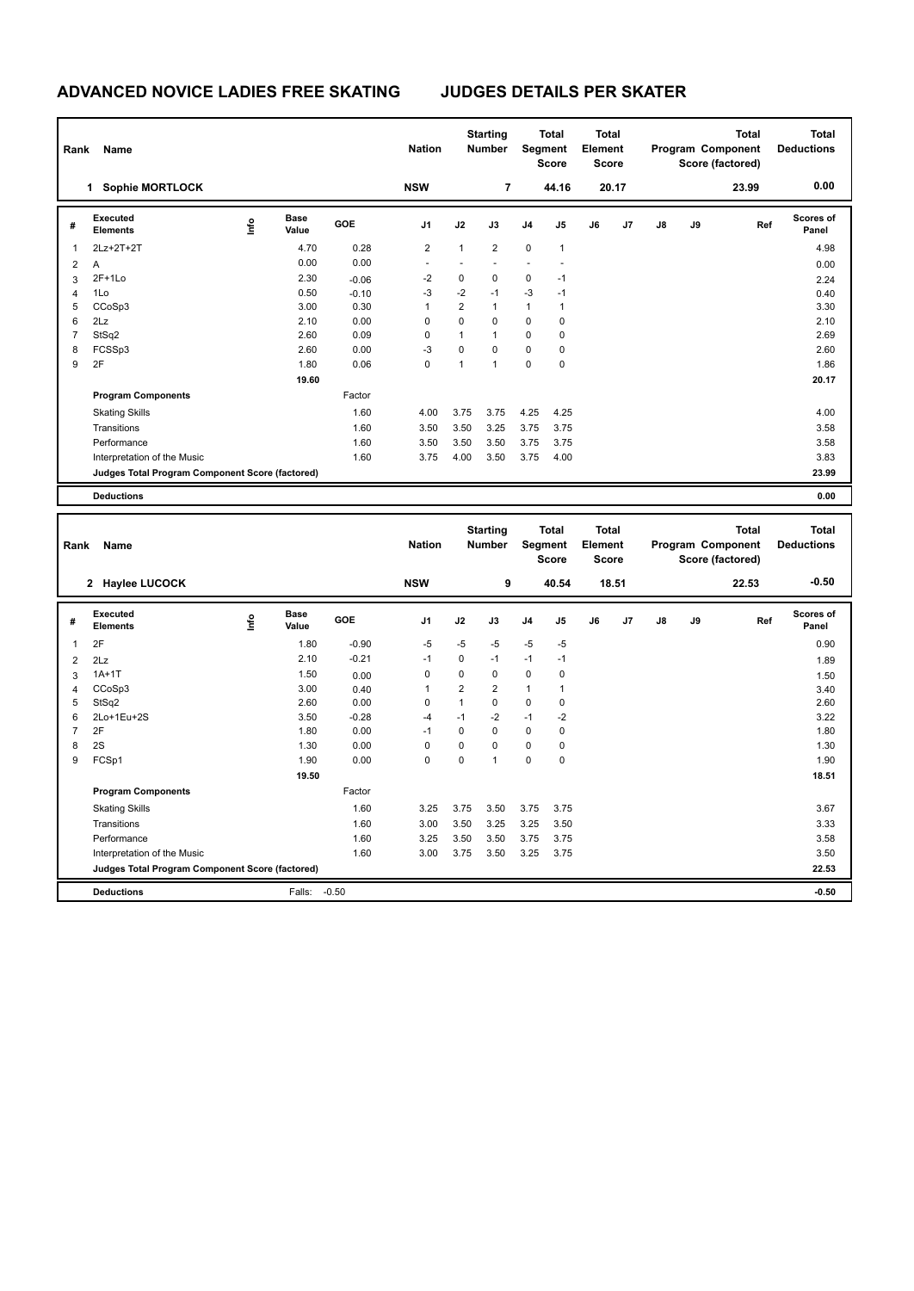| Rank | Name                                            |      |                      |         | <b>Nation</b>  |                | <b>Starting</b><br><b>Number</b> |                | <b>Total</b><br>Segment<br><b>Score</b> | <b>Total</b><br>Element<br><b>Score</b> |       |    |    | <b>Total</b><br>Program Component<br>Score (factored) | <b>Total</b><br><b>Deductions</b> |
|------|-------------------------------------------------|------|----------------------|---------|----------------|----------------|----------------------------------|----------------|-----------------------------------------|-----------------------------------------|-------|----|----|-------------------------------------------------------|-----------------------------------|
|      | <b>Sophie MORTLOCK</b><br>1                     |      |                      |         | <b>NSW</b>     |                | $\overline{7}$                   |                | 44.16                                   |                                         | 20.17 |    |    | 23.99                                                 | 0.00                              |
| #    | Executed<br>Elements                            | ١nfo | <b>Base</b><br>Value | GOE     | J <sub>1</sub> | J2             | J3                               | J <sub>4</sub> | J <sub>5</sub>                          | J6                                      | J7    | J8 | J9 | Ref                                                   | Scores of<br>Panel                |
| 1    | 2Lz+2T+2T                                       |      | 4.70                 | 0.28    | 2              | $\mathbf{1}$   | $\overline{2}$                   | $\mathbf 0$    | $\mathbf{1}$                            |                                         |       |    |    |                                                       | 4.98                              |
| 2    | Α                                               |      | 0.00                 | 0.00    |                |                |                                  |                |                                         |                                         |       |    |    |                                                       | 0.00                              |
| 3    | $2F+1Lo$                                        |      | 2.30                 | $-0.06$ | $-2$           | 0              | $\mathbf 0$                      | $\mathbf 0$    | $-1$                                    |                                         |       |    |    |                                                       | 2.24                              |
| 4    | 1Lo                                             |      | 0.50                 | $-0.10$ | $-3$           | $-2$           | $-1$                             | $-3$           | $-1$                                    |                                         |       |    |    |                                                       | 0.40                              |
| 5    | CCoSp3                                          |      | 3.00                 | 0.30    | 1              | $\overline{2}$ | $\mathbf{1}$                     | $\mathbf{1}$   | 1                                       |                                         |       |    |    |                                                       | 3.30                              |
| 6    | 2Lz                                             |      | 2.10                 | 0.00    | 0              | 0              | $\mathbf 0$                      | $\mathbf 0$    | 0                                       |                                         |       |    |    |                                                       | 2.10                              |
| 7    | StSq2                                           |      | 2.60                 | 0.09    | 0              | $\mathbf{1}$   | $\overline{1}$                   | $\mathbf 0$    | 0                                       |                                         |       |    |    |                                                       | 2.69                              |
| 8    | FCSSp3                                          |      | 2.60                 | 0.00    | $-3$           | 0              | $\Omega$                         | $\mathbf 0$    | 0                                       |                                         |       |    |    |                                                       | 2.60                              |
| 9    | 2F                                              |      | 1.80                 | 0.06    | 0              | 1              | $\overline{1}$                   | $\mathbf 0$    | 0                                       |                                         |       |    |    |                                                       | 1.86                              |
|      |                                                 |      | 19.60                |         |                |                |                                  |                |                                         |                                         |       |    |    |                                                       | 20.17                             |
|      | <b>Program Components</b>                       |      |                      | Factor  |                |                |                                  |                |                                         |                                         |       |    |    |                                                       |                                   |
|      | <b>Skating Skills</b>                           |      |                      | 1.60    | 4.00           | 3.75           | 3.75                             | 4.25           | 4.25                                    |                                         |       |    |    |                                                       | 4.00                              |
|      | Transitions                                     |      |                      | 1.60    | 3.50           | 3.50           | 3.25                             | 3.75           | 3.75                                    |                                         |       |    |    |                                                       | 3.58                              |
|      | Performance                                     |      |                      | 1.60    | 3.50           | 3.50           | 3.50                             | 3.75           | 3.75                                    |                                         |       |    |    |                                                       | 3.58                              |
|      | Interpretation of the Music                     |      |                      | 1.60    | 3.75           | 4.00           | 3.50                             | 3.75           | 4.00                                    |                                         |       |    |    |                                                       | 3.83                              |
|      | Judges Total Program Component Score (factored) |      |                      |         |                |                |                                  |                |                                         |                                         |       |    |    |                                                       | 23.99                             |
|      | <b>Deductions</b>                               |      |                      |         |                |                |                                  |                |                                         |                                         |       |    |    |                                                       | 0.00                              |
|      |                                                 |      |                      |         |                |                |                                  |                |                                         |                                         |       |    |    |                                                       |                                   |

| Rank | Name                                            |      |                      |         | <b>Nation</b>  |                | <b>Starting</b><br><b>Number</b> |                | <b>Total</b><br>Segment<br><b>Score</b> | <b>Total</b><br>Element<br>Score |       |               |    | <b>Total</b><br>Program Component<br>Score (factored) | <b>Total</b><br><b>Deductions</b> |
|------|-------------------------------------------------|------|----------------------|---------|----------------|----------------|----------------------------------|----------------|-----------------------------------------|----------------------------------|-------|---------------|----|-------------------------------------------------------|-----------------------------------|
|      | 2 Haylee LUCOCK                                 |      |                      |         | <b>NSW</b>     |                | 9                                |                | 40.54                                   |                                  | 18.51 |               |    | 22.53                                                 | $-0.50$                           |
| #    | Executed<br><b>Elements</b>                     | lnfo | <b>Base</b><br>Value | GOE     | J <sub>1</sub> | J2             | J3                               | J <sub>4</sub> | J5                                      | J6                               | J7    | $\mathsf{J}8$ | J9 | Ref                                                   | <b>Scores of</b><br>Panel         |
| 1    | 2F                                              |      | 1.80                 | $-0.90$ | $-5$           | $-5$           | $-5$                             | $-5$           | $-5$                                    |                                  |       |               |    |                                                       | 0.90                              |
| 2    | 2Lz                                             |      | 2.10                 | $-0.21$ | $-1$           | 0              | $-1$                             | $-1$           | $-1$                                    |                                  |       |               |    |                                                       | 1.89                              |
| 3    | $1A+1T$                                         |      | 1.50                 | 0.00    | 0              | 0              | 0                                | 0              | 0                                       |                                  |       |               |    |                                                       | 1.50                              |
| 4    | CCoSp3                                          |      | 3.00                 | 0.40    | 1              | $\overline{2}$ | $\overline{2}$                   | 1              | 1                                       |                                  |       |               |    |                                                       | 3.40                              |
| 5    | StSq2                                           |      | 2.60                 | 0.00    | $\mathbf 0$    | 1              | $\mathbf 0$                      | $\mathbf 0$    | $\mathbf 0$                             |                                  |       |               |    |                                                       | 2.60                              |
| 6    | 2Lo+1Eu+2S                                      |      | 3.50                 | $-0.28$ | $-4$           | $-1$           | $-2$                             | $-1$           | $-2$                                    |                                  |       |               |    |                                                       | 3.22                              |
| 7    | 2F                                              |      | 1.80                 | 0.00    | $-1$           | 0              | $\mathbf 0$                      | $\mathbf 0$    | 0                                       |                                  |       |               |    |                                                       | 1.80                              |
| 8    | 2S                                              |      | 1.30                 | 0.00    | 0              | 0              | $\Omega$                         | $\mathbf 0$    | 0                                       |                                  |       |               |    |                                                       | 1.30                              |
| 9    | FCSp1                                           |      | 1.90                 | 0.00    | 0              | 0              | $\overline{1}$                   | 0              | 0                                       |                                  |       |               |    |                                                       | 1.90                              |
|      |                                                 |      | 19.50                |         |                |                |                                  |                |                                         |                                  |       |               |    |                                                       | 18.51                             |
|      | <b>Program Components</b>                       |      |                      | Factor  |                |                |                                  |                |                                         |                                  |       |               |    |                                                       |                                   |
|      | <b>Skating Skills</b>                           |      |                      | 1.60    | 3.25           | 3.75           | 3.50                             | 3.75           | 3.75                                    |                                  |       |               |    |                                                       | 3.67                              |
|      | Transitions                                     |      |                      | 1.60    | 3.00           | 3.50           | 3.25                             | 3.25           | 3.50                                    |                                  |       |               |    |                                                       | 3.33                              |
|      | Performance                                     |      |                      | 1.60    | 3.25           | 3.50           | 3.50                             | 3.75           | 3.75                                    |                                  |       |               |    |                                                       | 3.58                              |
|      | Interpretation of the Music                     |      |                      | 1.60    | 3.00           | 3.75           | 3.50                             | 3.25           | 3.75                                    |                                  |       |               |    |                                                       | 3.50                              |
|      | Judges Total Program Component Score (factored) |      |                      |         |                |                |                                  |                |                                         |                                  |       |               |    |                                                       | 22.53                             |
|      | <b>Deductions</b>                               |      | Falls:               | $-0.50$ |                |                |                                  |                |                                         |                                  |       |               |    |                                                       | $-0.50$                           |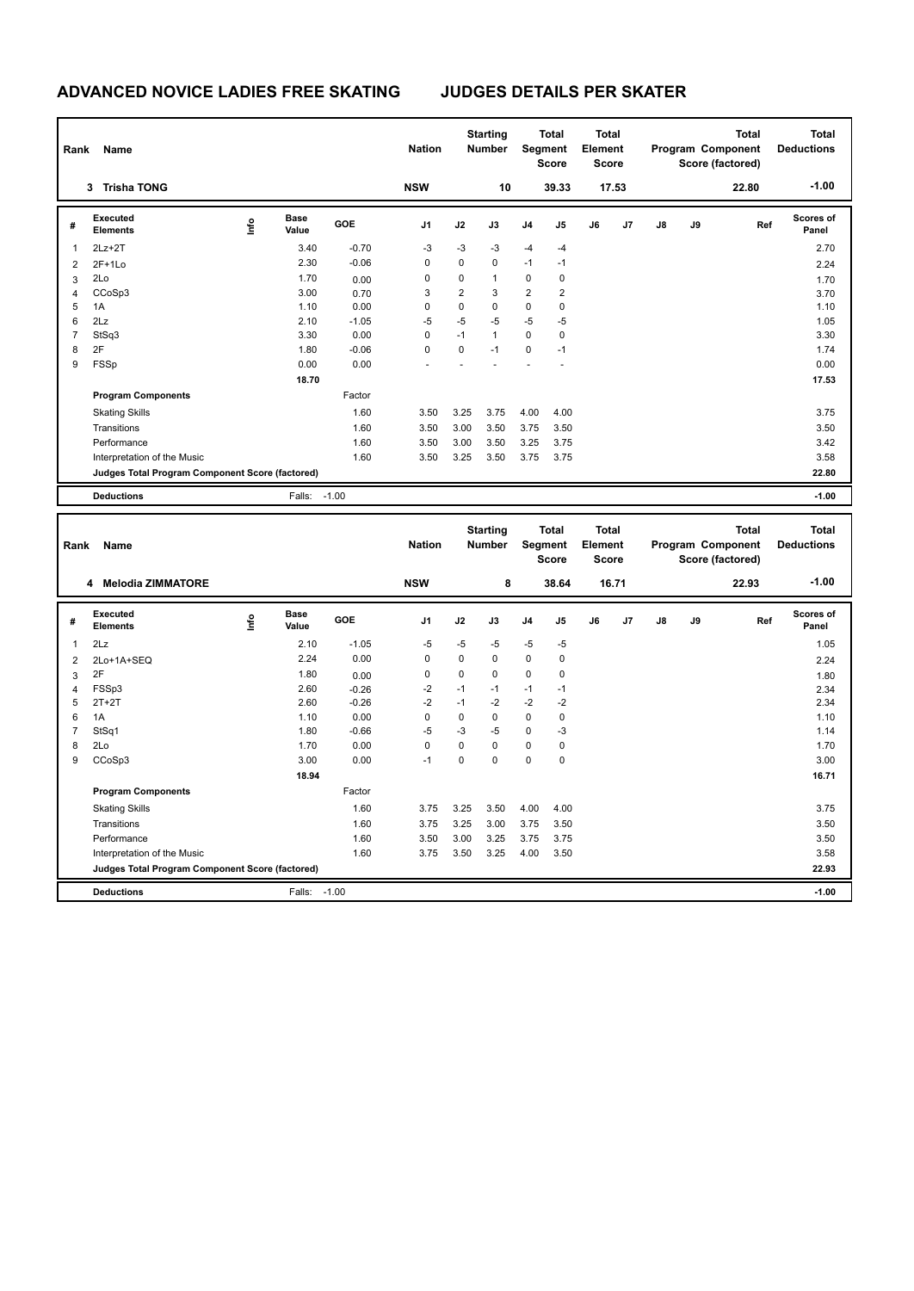| Rank                     | Name                                            |   |                      |            | <b>Nation</b>  |                | <b>Starting</b><br>Number        |                | <b>Total</b><br>Segment<br><b>Score</b> | <b>Total</b><br>Element<br><b>Score</b> |       |               | Program Component<br>Score (factored) | <b>Total</b> | <b>Total</b><br><b>Deductions</b> |
|--------------------------|-------------------------------------------------|---|----------------------|------------|----------------|----------------|----------------------------------|----------------|-----------------------------------------|-----------------------------------------|-------|---------------|---------------------------------------|--------------|-----------------------------------|
|                          | 3 Trisha TONG                                   |   |                      |            | <b>NSW</b>     |                | 10                               |                | 39.33                                   |                                         | 17.53 |               |                                       | 22.80        | $-1.00$                           |
| #                        | Executed<br><b>Elements</b>                     | ۴ | <b>Base</b><br>Value | GOE        | J <sub>1</sub> | J2             | J3                               | J <sub>4</sub> | J5                                      | J6                                      | J7    | J8            | J9                                    | Ref          | Scores of<br>Panel                |
| 1                        | $2Lz+2T$                                        |   | 3.40                 | $-0.70$    | $-3$           | -3             | -3                               | $-4$           | $-4$                                    |                                         |       |               |                                       |              | 2.70                              |
| $\overline{2}$           | $2F+1Lo$                                        |   | 2.30                 | $-0.06$    | $\mathbf 0$    | $\overline{0}$ | $\mathbf 0$                      | $-1$           | $-1$                                    |                                         |       |               |                                       |              | 2.24                              |
| 3                        | 2Lo                                             |   | 1.70                 | 0.00       | $\mathbf 0$    | 0              | $\mathbf{1}$                     | 0              | 0                                       |                                         |       |               |                                       |              | 1.70                              |
| $\overline{4}$           | CCoSp3                                          |   | 3.00                 | 0.70       | 3              | $\overline{2}$ | 3                                | $\overline{2}$ | 2                                       |                                         |       |               |                                       |              | 3.70                              |
| 5                        | 1A                                              |   | 1.10                 | 0.00       | $\mathbf 0$    | 0              | $\mathbf 0$                      | $\mathbf 0$    | 0                                       |                                         |       |               |                                       |              | 1.10                              |
| 6                        | 2Lz                                             |   | 2.10                 | $-1.05$    | $-5$           | $-5$           | $-5$                             | $-5$           | $-5$                                    |                                         |       |               |                                       |              | 1.05                              |
| $\overline{\mathcal{I}}$ | StSq3                                           |   | 3.30                 | 0.00       | $\mathbf 0$    | $-1$           | $\mathbf{1}$                     | $\mathbf 0$    | 0                                       |                                         |       |               |                                       |              | 3.30                              |
| 8                        | 2F                                              |   | 1.80                 | $-0.06$    | $\mathbf 0$    | 0              | $-1$                             | $\mathbf 0$    | $-1$                                    |                                         |       |               |                                       |              | 1.74                              |
| 9                        | FSSp                                            |   | 0.00                 | 0.00       |                |                |                                  |                | ä,                                      |                                         |       |               |                                       |              | 0.00                              |
|                          |                                                 |   | 18.70                |            |                |                |                                  |                |                                         |                                         |       |               |                                       |              | 17.53                             |
|                          | <b>Program Components</b>                       |   |                      | Factor     |                |                |                                  |                |                                         |                                         |       |               |                                       |              |                                   |
|                          | <b>Skating Skills</b>                           |   |                      | 1.60       | 3.50           | 3.25           | 3.75                             | 4.00           | 4.00                                    |                                         |       |               |                                       |              | 3.75                              |
|                          | Transitions                                     |   |                      | 1.60       | 3.50           | 3.00           | 3.50                             | 3.75           | 3.50                                    |                                         |       |               |                                       |              | 3.50                              |
|                          | Performance                                     |   |                      | 1.60       | 3.50           | 3.00           | 3.50                             | 3.25           | 3.75                                    |                                         |       |               |                                       |              | 3.42                              |
|                          | Interpretation of the Music                     |   |                      | 1.60       | 3.50           | 3.25           | 3.50                             | 3.75           | 3.75                                    |                                         |       |               |                                       |              | 3.58                              |
|                          | Judges Total Program Component Score (factored) |   |                      |            |                |                |                                  |                |                                         |                                         |       |               |                                       |              | 22.80                             |
|                          | <b>Deductions</b>                               |   | Falls: -1.00         |            |                |                |                                  |                |                                         |                                         |       |               |                                       |              | $-1.00$                           |
| Rank                     | Name                                            |   |                      |            | <b>Nation</b>  |                | <b>Starting</b><br><b>Number</b> |                | <b>Total</b><br>Segment<br><b>Score</b> | Total<br>Element<br><b>Score</b>        |       |               | Program Component<br>Score (factored) | <b>Total</b> | Total<br><b>Deductions</b>        |
|                          | 4 Melodia ZIMMATORE                             |   |                      |            | <b>NSW</b>     |                | 8                                |                | 38.64                                   |                                         | 16.71 |               |                                       | 22.93        | $-1.00$                           |
| #                        | Executed<br>Elements                            | ۴ | <b>Base</b><br>Value | <b>GOE</b> | J1             | J2             | J3                               | J <sub>4</sub> | J5                                      | J6                                      | J7    | $\mathsf{J}8$ | J9                                    | Ref          | Scores of<br>Panel                |
| 1                        | 2Lz                                             |   | 2.10                 | $-1.05$    | $-5$           | $-5$           | -5                               | $-5$           | $-5$                                    |                                         |       |               |                                       |              | 1.05                              |
| 2                        | 2Lo+1A+SEQ                                      |   | 2.24                 | 0.00       | $\mathbf 0$    | 0              | $\mathbf 0$                      | $\mathbf 0$    | 0                                       |                                         |       |               |                                       |              | 2.24                              |
| 3                        | 2F                                              |   | 1.80                 | 0.00       | $\mathbf 0$    | 0              | $\mathbf 0$                      | 0              | 0                                       |                                         |       |               |                                       |              | 1.80                              |
| 4                        | FSSp3                                           |   | 2.60                 | $-0.26$    | $-2$           | $-1$           | $-1$                             | $-1$           | $-1$                                    |                                         |       |               |                                       |              | 2.34                              |
| 5                        | $2T+2T$                                         |   | 2.60                 | $-0.26$    | $-2$           | $-1$           | $-2$                             | $-2$           | $-2$                                    |                                         |       |               |                                       |              | 2.34                              |
| 6                        | 1A                                              |   | 1.10                 | 0.00       | $\mathbf 0$    | $\overline{0}$ | $\Omega$                         | $\mathbf 0$    | 0                                       |                                         |       |               |                                       |              | 1.10                              |
| $\overline{7}$           | StSq1                                           |   | 1.80                 | $-0.66$    | $-5$           | -3             | $-5$                             | $\pmb{0}$      | -3                                      |                                         |       |               |                                       |              | 1.14                              |
| 8                        | 2Lo                                             |   | 1.70                 | 0.00       | 0              | 0              | $\pmb{0}$                        | 0              | 0                                       |                                         |       |               |                                       |              | 1.70                              |
| 9                        | CCoSp3                                          |   | 3.00                 | 0.00       | $-1$           | 0              | $\Omega$                         | $\Omega$       | 0                                       |                                         |       |               |                                       |              | 3.00                              |
|                          |                                                 |   | 18.94                |            |                |                |                                  |                |                                         |                                         |       |               |                                       |              | 16.71                             |
|                          | <b>Program Components</b>                       |   |                      | Factor     |                |                |                                  |                |                                         |                                         |       |               |                                       |              |                                   |

Skating Skills 3.75 3.25 3.50 4.00 4.00 1.60 3.75

Transitions 1.60 3.75 3.25 3.00 3.75 3.50 3.50 Performance 1.60 3.50 3.00 3.25 3.75 3.75 3.50 Interpretation of the Music **1.60** 1.60 3.75 3.50 3.25 4.00 3.50

**Deductions** Falls: -1.00 **-1.00 Judges Total Program Component Score (factored) 22.93**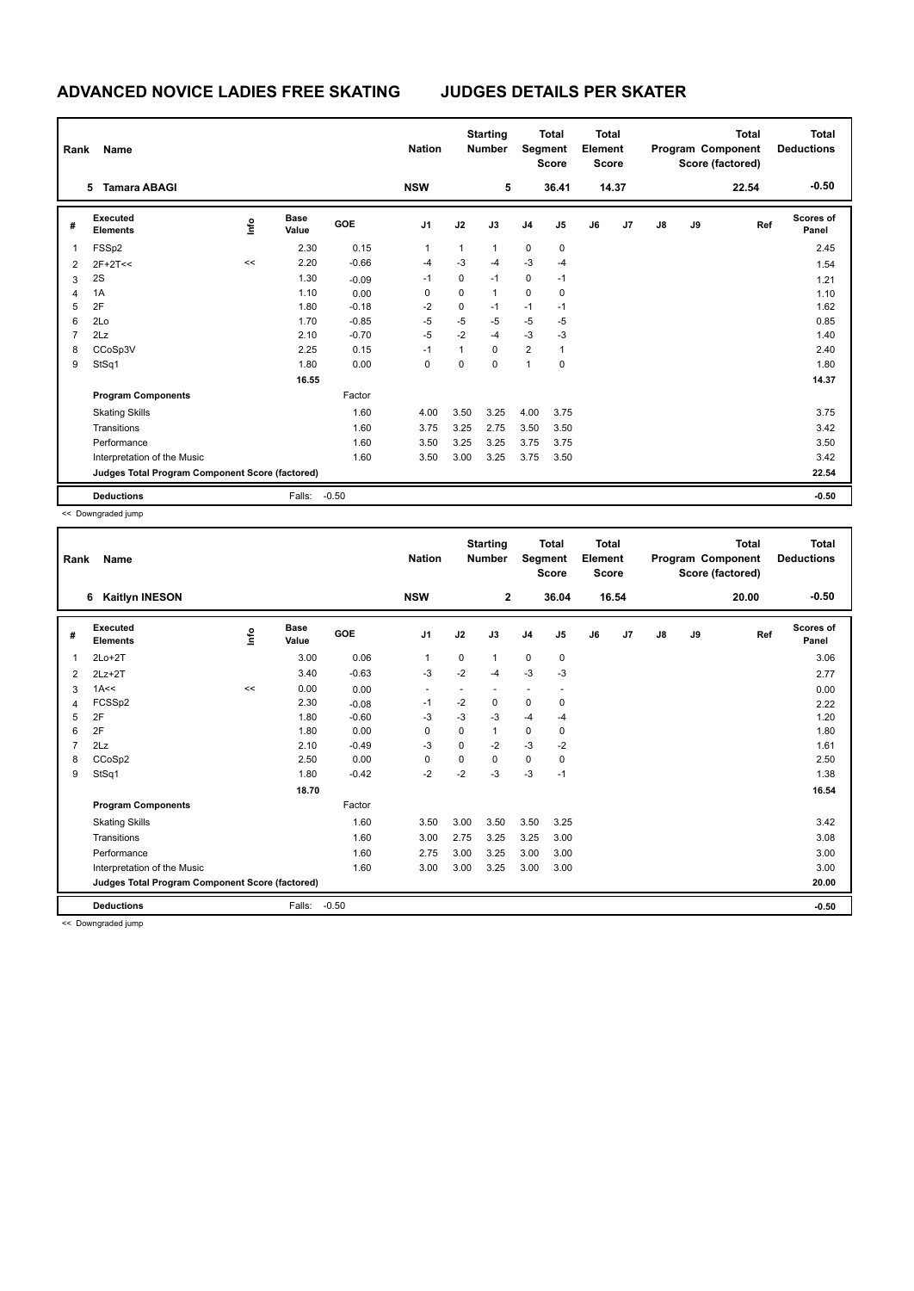|   | Rank<br>Name                                    |      |                      |         | <b>Nation</b>  |              | <b>Starting</b><br><b>Total</b><br>Segment<br><b>Number</b><br><b>Score</b> |                |       | <b>Total</b><br>Element<br><b>Score</b> |       | Total<br>Program Component<br>Score (factored) |    |       | <b>Total</b><br><b>Deductions</b> |
|---|-------------------------------------------------|------|----------------------|---------|----------------|--------------|-----------------------------------------------------------------------------|----------------|-------|-----------------------------------------|-------|------------------------------------------------|----|-------|-----------------------------------|
|   | <b>Tamara ABAGI</b><br>5.                       |      |                      |         | <b>NSW</b>     |              | 5                                                                           |                | 36.41 |                                         | 14.37 |                                                |    | 22.54 | $-0.50$                           |
| # | Executed<br><b>Elements</b>                     | ١nfo | <b>Base</b><br>Value | GOE     | J <sub>1</sub> | J2           | J3                                                                          | J <sub>4</sub> | J5    | J6                                      | J7    | $\mathsf{J}8$                                  | J9 | Ref   | <b>Scores of</b><br>Panel         |
| 1 | FSSp2                                           |      | 2.30                 | 0.15    | $\mathbf{1}$   | $\mathbf{1}$ | $\mathbf{1}$                                                                | $\mathbf 0$    | 0     |                                         |       |                                                |    |       | 2.45                              |
| 2 | $2F+2T<<$                                       | <<   | 2.20                 | $-0.66$ | $-4$           | $-3$         | $-4$                                                                        | $-3$           | $-4$  |                                         |       |                                                |    |       | 1.54                              |
| 3 | 2S                                              |      | 1.30                 | $-0.09$ | $-1$           | 0            | $-1$                                                                        | 0              | $-1$  |                                         |       |                                                |    |       | 1.21                              |
| 4 | 1A                                              |      | 1.10                 | 0.00    | $\Omega$       | 0            | $\mathbf{1}$                                                                | 0              | 0     |                                         |       |                                                |    |       | 1.10                              |
| 5 | 2F                                              |      | 1.80                 | $-0.18$ | $-2$           | 0            | $-1$                                                                        | $-1$           | $-1$  |                                         |       |                                                |    |       | 1.62                              |
| 6 | 2Lo                                             |      | 1.70                 | $-0.85$ | $-5$           | $-5$         | -5                                                                          | $-5$           | $-5$  |                                         |       |                                                |    |       | 0.85                              |
| 7 | 2Lz                                             |      | 2.10                 | $-0.70$ | $-5$           | $-2$         | $-4$                                                                        | $-3$           | -3    |                                         |       |                                                |    |       | 1.40                              |
| 8 | CCoSp3V                                         |      | 2.25                 | 0.15    | $-1$           | $\mathbf{1}$ | $\Omega$                                                                    | $\overline{2}$ | 1     |                                         |       |                                                |    |       | 2.40                              |
| 9 | StSq1                                           |      | 1.80                 | 0.00    | 0              | 0            | $\mathbf 0$                                                                 | $\mathbf{1}$   | 0     |                                         |       |                                                |    |       | 1.80                              |
|   |                                                 |      | 16.55                |         |                |              |                                                                             |                |       |                                         |       |                                                |    |       | 14.37                             |
|   | <b>Program Components</b>                       |      |                      | Factor  |                |              |                                                                             |                |       |                                         |       |                                                |    |       |                                   |
|   | <b>Skating Skills</b>                           |      |                      | 1.60    | 4.00           | 3.50         | 3.25                                                                        | 4.00           | 3.75  |                                         |       |                                                |    |       | 3.75                              |
|   | Transitions                                     |      |                      | 1.60    | 3.75           | 3.25         | 2.75                                                                        | 3.50           | 3.50  |                                         |       |                                                |    |       | 3.42                              |
|   | Performance                                     |      |                      | 1.60    | 3.50           | 3.25         | 3.25                                                                        | 3.75           | 3.75  |                                         |       |                                                |    |       | 3.50                              |
|   | Interpretation of the Music                     |      |                      | 1.60    | 3.50           | 3.00         | 3.25                                                                        | 3.75           | 3.50  |                                         |       |                                                |    |       | 3.42                              |
|   | Judges Total Program Component Score (factored) |      |                      |         |                |              |                                                                             |                |       |                                         |       |                                                |    |       | 22.54                             |
|   | <b>Deductions</b>                               |      | Falls:               | $-0.50$ |                |              |                                                                             |                |       |                                         |       |                                                |    |       | $-0.50$                           |

<< Downgraded jump

| Rank | Name                                            |       |                      |         | <b>Nation</b>  |             | <b>Starting</b><br><b>Number</b> | Segment        | <b>Total</b><br><b>Score</b> | <b>Total</b><br>Element<br><b>Score</b> |       |               |    | <b>Total</b><br>Program Component<br>Score (factored) | <b>Total</b><br><b>Deductions</b> |
|------|-------------------------------------------------|-------|----------------------|---------|----------------|-------------|----------------------------------|----------------|------------------------------|-----------------------------------------|-------|---------------|----|-------------------------------------------------------|-----------------------------------|
|      | <b>Kaitlyn INESON</b><br>6                      |       |                      |         | <b>NSW</b>     |             | $\overline{2}$                   |                | 36.04                        |                                         | 16.54 |               |    | 20.00                                                 | $-0.50$                           |
| #    | Executed<br><b>Elements</b>                     | Linfo | <b>Base</b><br>Value | GOE     | J <sub>1</sub> | J2          | J3                               | J <sub>4</sub> | J5                           | J6                                      | J7    | $\mathsf{J}8$ | J9 | Ref                                                   | Scores of<br>Panel                |
| 1    | $2Lo+2T$                                        |       | 3.00                 | 0.06    | 1              | $\mathbf 0$ | 1                                | $\mathbf 0$    | $\mathbf 0$                  |                                         |       |               |    |                                                       | 3.06                              |
| 2    | $2Lz+2T$                                        |       | 3.40                 | $-0.63$ | -3             | $-2$        | $-4$                             | $-3$           | -3                           |                                         |       |               |    |                                                       | 2.77                              |
| 3    | 1A<<                                            | <<    | 0.00                 | 0.00    | $\blacksquare$ |             | $\overline{\phantom{a}}$         | ٠              | $\overline{\phantom{a}}$     |                                         |       |               |    |                                                       | 0.00                              |
| 4    | FCSSp2                                          |       | 2.30                 | $-0.08$ | $-1$           | $-2$        | 0                                | $\mathbf 0$    | 0                            |                                         |       |               |    |                                                       | 2.22                              |
| 5    | 2F                                              |       | 1.80                 | $-0.60$ | $-3$           | $-3$        | $-3$                             | $-4$           | $-4$                         |                                         |       |               |    |                                                       | 1.20                              |
| 6    | 2F                                              |       | 1.80                 | 0.00    | $\Omega$       | $\Omega$    | 1                                | $\mathbf 0$    | 0                            |                                         |       |               |    |                                                       | 1.80                              |
|      | 2Lz                                             |       | 2.10                 | $-0.49$ | $-3$           | $\Omega$    | $-2$                             | $-3$           | $-2$                         |                                         |       |               |    |                                                       | 1.61                              |
| 8    | CCoSp2                                          |       | 2.50                 | 0.00    | $\mathbf 0$    | $\Omega$    | 0                                | $\pmb{0}$      | 0                            |                                         |       |               |    |                                                       | 2.50                              |
| 9    | StSq1                                           |       | 1.80                 | $-0.42$ | $-2$           | $-2$        | $-3$                             | $-3$           | $-1$                         |                                         |       |               |    |                                                       | 1.38                              |
|      |                                                 |       | 18.70                |         |                |             |                                  |                |                              |                                         |       |               |    |                                                       | 16.54                             |
|      | <b>Program Components</b>                       |       |                      | Factor  |                |             |                                  |                |                              |                                         |       |               |    |                                                       |                                   |
|      | <b>Skating Skills</b>                           |       |                      | 1.60    | 3.50           | 3.00        | 3.50                             | 3.50           | 3.25                         |                                         |       |               |    |                                                       | 3.42                              |
|      | Transitions                                     |       |                      | 1.60    | 3.00           | 2.75        | 3.25                             | 3.25           | 3.00                         |                                         |       |               |    |                                                       | 3.08                              |
|      | Performance                                     |       |                      | 1.60    | 2.75           | 3.00        | 3.25                             | 3.00           | 3.00                         |                                         |       |               |    |                                                       | 3.00                              |
|      | Interpretation of the Music                     |       |                      | 1.60    | 3.00           | 3.00        | 3.25                             | 3.00           | 3.00                         |                                         |       |               |    |                                                       | 3.00                              |
|      | Judges Total Program Component Score (factored) |       |                      |         |                |             |                                  |                |                              |                                         |       |               |    |                                                       | 20.00                             |
|      | <b>Deductions</b>                               |       | Falls:               | $-0.50$ |                |             |                                  |                |                              |                                         |       |               |    |                                                       | $-0.50$                           |

<< Downgraded jump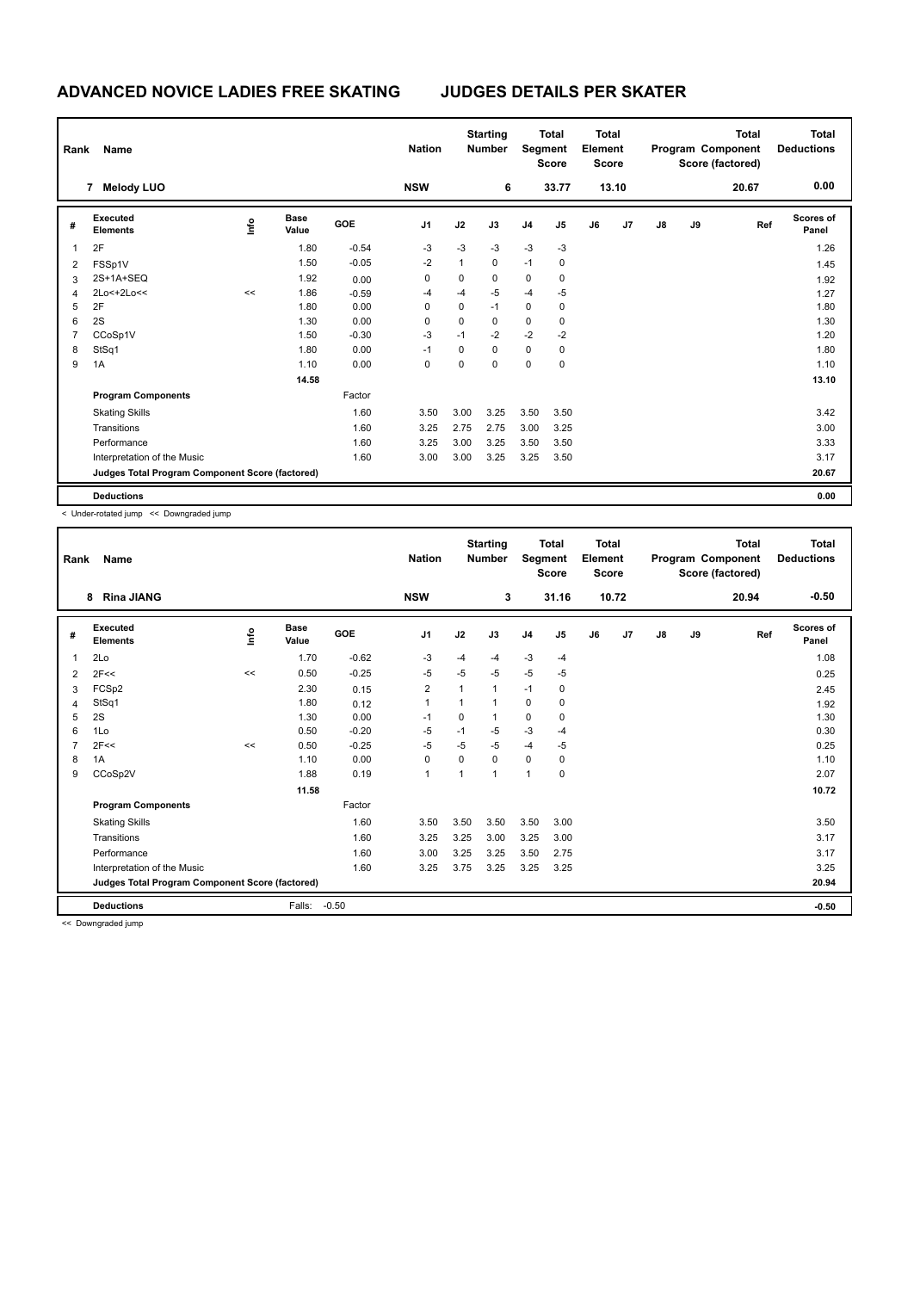| Rank | Name                                            |      |                      | <b>Nation</b> | <b>Starting</b><br><b>Number</b> |              |             | <b>Total</b><br><b>Total</b><br>Element<br>Segment<br><b>Score</b><br><b>Score</b> |       |    |       |               | <b>Total</b><br>Program Component<br>Score (factored) | <b>Total</b><br><b>Deductions</b> |                           |
|------|-------------------------------------------------|------|----------------------|---------------|----------------------------------|--------------|-------------|------------------------------------------------------------------------------------|-------|----|-------|---------------|-------------------------------------------------------|-----------------------------------|---------------------------|
|      | <b>Melody LUO</b><br>7                          |      |                      |               | <b>NSW</b>                       |              | 6           |                                                                                    | 33.77 |    | 13.10 |               |                                                       | 20.67                             | 0.00                      |
| #    | Executed<br><b>Elements</b>                     | ١nfo | <b>Base</b><br>Value | <b>GOE</b>    | J <sub>1</sub>                   | J2           | J3          | J <sub>4</sub>                                                                     | J5    | J6 | J7    | $\mathsf{J}8$ | J9                                                    | Ref                               | <b>Scores of</b><br>Panel |
| 1    | 2F                                              |      | 1.80                 | $-0.54$       | $-3$                             | $-3$         | $-3$        | $-3$                                                                               | $-3$  |    |       |               |                                                       |                                   | 1.26                      |
| 2    | FSSp1V                                          |      | 1.50                 | $-0.05$       | $-2$                             | $\mathbf{1}$ | $\mathbf 0$ | $-1$                                                                               | 0     |    |       |               |                                                       |                                   | 1.45                      |
| 3    | 2S+1A+SEQ                                       |      | 1.92                 | 0.00          | 0                                | 0            | 0           | $\mathbf 0$                                                                        | 0     |    |       |               |                                                       |                                   | 1.92                      |
| 4    | 2Lo<+2Lo<<                                      | <<   | 1.86                 | $-0.59$       | -4                               | -4           | $-5$        | $-4$                                                                               | $-5$  |    |       |               |                                                       |                                   | 1.27                      |
| 5    | 2F                                              |      | 1.80                 | 0.00          | 0                                | 0            | $-1$        | $\mathbf 0$                                                                        | 0     |    |       |               |                                                       |                                   | 1.80                      |
| 6    | 2S                                              |      | 1.30                 | 0.00          | 0                                | 0            | 0           | 0                                                                                  | 0     |    |       |               |                                                       |                                   | 1.30                      |
| 7    | CCoSp1V                                         |      | 1.50                 | $-0.30$       | $-3$                             | $-1$         | $-2$        | $-2$                                                                               | $-2$  |    |       |               |                                                       |                                   | 1.20                      |
| 8    | StSq1                                           |      | 1.80                 | 0.00          | $-1$                             | 0            | $\mathbf 0$ | 0                                                                                  | 0     |    |       |               |                                                       |                                   | 1.80                      |
| 9    | 1A                                              |      | 1.10                 | 0.00          | 0                                | 0            | 0           | 0                                                                                  | 0     |    |       |               |                                                       |                                   | 1.10                      |
|      |                                                 |      | 14.58                |               |                                  |              |             |                                                                                    |       |    |       |               |                                                       |                                   | 13.10                     |
|      | <b>Program Components</b>                       |      |                      | Factor        |                                  |              |             |                                                                                    |       |    |       |               |                                                       |                                   |                           |
|      | <b>Skating Skills</b>                           |      |                      | 1.60          | 3.50                             | 3.00         | 3.25        | 3.50                                                                               | 3.50  |    |       |               |                                                       |                                   | 3.42                      |
|      | Transitions                                     |      |                      | 1.60          | 3.25                             | 2.75         | 2.75        | 3.00                                                                               | 3.25  |    |       |               |                                                       |                                   | 3.00                      |
|      | Performance                                     |      |                      | 1.60          | 3.25                             | 3.00         | 3.25        | 3.50                                                                               | 3.50  |    |       |               |                                                       |                                   | 3.33                      |
|      | Interpretation of the Music                     |      |                      | 1.60          | 3.00                             | 3.00         | 3.25        | 3.25                                                                               | 3.50  |    |       |               |                                                       |                                   | 3.17                      |
|      | Judges Total Program Component Score (factored) |      |                      |               |                                  |              |             |                                                                                    |       |    |       |               |                                                       |                                   | 20.67                     |
|      | <b>Deductions</b>                               |      |                      |               |                                  |              |             |                                                                                    |       |    |       |               |                                                       |                                   | 0.00                      |

< Under-rotated jump << Downgraded jump

| Rank | Name                                            |      |                      |         | <b>Nation</b>  |                | <b>Starting</b><br><b>Number</b> | Segment        | <b>Total</b><br><b>Score</b> | <b>Total</b><br>Element<br><b>Score</b> |       |               |    | <b>Total</b><br>Program Component<br>Score (factored) | <b>Total</b><br><b>Deductions</b> |
|------|-------------------------------------------------|------|----------------------|---------|----------------|----------------|----------------------------------|----------------|------------------------------|-----------------------------------------|-------|---------------|----|-------------------------------------------------------|-----------------------------------|
|      | <b>Rina JIANG</b><br>8                          |      |                      |         | <b>NSW</b>     |                | 3                                |                | 31.16                        |                                         | 10.72 |               |    | 20.94                                                 | $-0.50$                           |
| #    | Executed<br><b>Elements</b>                     | lnfo | <b>Base</b><br>Value | GOE     | J <sub>1</sub> | J2             | J3                               | J <sub>4</sub> | J5                           | J6                                      | J7    | $\mathsf{J}8$ | J9 | Ref                                                   | Scores of<br>Panel                |
| 1    | 2Lo                                             |      | 1.70                 | $-0.62$ | $-3$           | $-4$           | $-4$                             | -3             | $-4$                         |                                         |       |               |    |                                                       | 1.08                              |
| 2    | 2F<<                                            | <<   | 0.50                 | $-0.25$ | $-5$           | $-5$           | $-5$                             | $-5$           | $-5$                         |                                         |       |               |    |                                                       | 0.25                              |
| 3    | FCSp2                                           |      | 2.30                 | 0.15    | $\overline{2}$ | 1              | 1                                | $-1$           | 0                            |                                         |       |               |    |                                                       | 2.45                              |
| 4    | StSq1                                           |      | 1.80                 | 0.12    | 1              | 1              | 1                                | 0              | 0                            |                                         |       |               |    |                                                       | 1.92                              |
| 5    | 2S                                              |      | 1.30                 | 0.00    | $-1$           | 0              | 1                                | $\mathbf 0$    | 0                            |                                         |       |               |    |                                                       | 1.30                              |
| 6    | 1Lo                                             |      | 0.50                 | $-0.20$ | $-5$           | $-1$           | $-5$                             | $-3$           | $-4$                         |                                         |       |               |    |                                                       | 0.30                              |
|      | 2F<<                                            | <<   | 0.50                 | $-0.25$ | $-5$           | $-5$           | $-5$                             | $-4$           | $-5$                         |                                         |       |               |    |                                                       | 0.25                              |
| 8    | 1A                                              |      | 1.10                 | 0.00    | 0              | 0              | 0                                | $\mathbf 0$    | 0                            |                                         |       |               |    |                                                       | 1.10                              |
| 9    | CCoSp2V                                         |      | 1.88                 | 0.19    | $\mathbf{1}$   | $\overline{1}$ | 1                                | $\mathbf{1}$   | 0                            |                                         |       |               |    |                                                       | 2.07                              |
|      |                                                 |      | 11.58                |         |                |                |                                  |                |                              |                                         |       |               |    |                                                       | 10.72                             |
|      | <b>Program Components</b>                       |      |                      | Factor  |                |                |                                  |                |                              |                                         |       |               |    |                                                       |                                   |
|      | <b>Skating Skills</b>                           |      |                      | 1.60    | 3.50           | 3.50           | 3.50                             | 3.50           | 3.00                         |                                         |       |               |    |                                                       | 3.50                              |
|      | Transitions                                     |      |                      | 1.60    | 3.25           | 3.25           | 3.00                             | 3.25           | 3.00                         |                                         |       |               |    |                                                       | 3.17                              |
|      | Performance                                     |      |                      | 1.60    | 3.00           | 3.25           | 3.25                             | 3.50           | 2.75                         |                                         |       |               |    |                                                       | 3.17                              |
|      | Interpretation of the Music                     |      |                      | 1.60    | 3.25           | 3.75           | 3.25                             | 3.25           | 3.25                         |                                         |       |               |    |                                                       | 3.25                              |
|      | Judges Total Program Component Score (factored) |      |                      |         |                |                |                                  |                |                              |                                         |       |               |    |                                                       | 20.94                             |
|      | <b>Deductions</b>                               |      | Falls:               | $-0.50$ |                |                |                                  |                |                              |                                         |       |               |    |                                                       | $-0.50$                           |

<< Downgraded jump